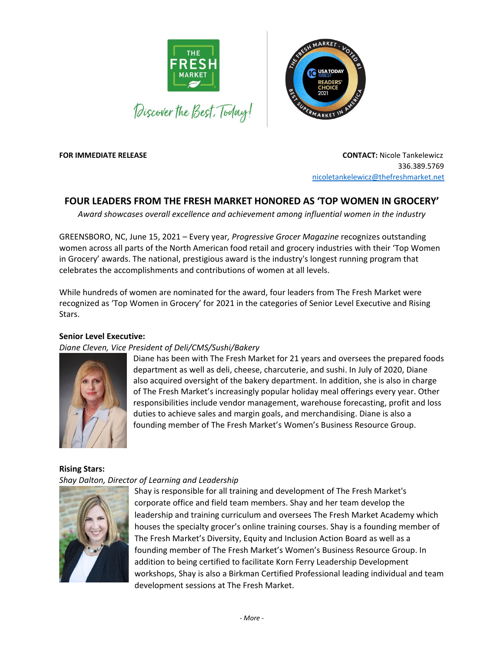



**FOR IMMEDIATE RELEASE CONTACT:** Nicole Tankelewicz

 336.389.5769 [nicoletankelewicz@thefreshmarket.net](mailto:nicoletankelewicz@thefreshmarket.net)

# **FOUR LEADERS FROM THE FRESH MARKET HONORED AS 'TOP WOMEN IN GROCERY'**

*Award showcases overall excellence and achievement among influential women in the industry*

GREENSBORO, NC, June 15, 2021 – Every year*, Progressive Grocer Magazine* recognizes outstanding women across all parts of the North American food retail and grocery industries with their 'Top Women in Grocery' awards. The national, prestigious award is the industry's longest running program that celebrates the accomplishments and contributions of women at all levels.

While hundreds of women are nominated for the award, four leaders from The Fresh Market were recognized as 'Top Women in Grocery' for 2021 in the categories of Senior Level Executive and Rising Stars.

## **Senior Level Executive:**

### *Diane Cleven, Vice President of Deli/CMS/Sushi/Bakery*



Diane has been with The Fresh Market for 21 years and oversees the prepared foods department as well as deli, cheese, charcuterie, and sushi. In July of 2020, Diane also acquired oversight of the bakery department. In addition, she is also in charge of The Fresh Market's increasingly popular holiday meal offerings every year. Other responsibilities include vendor management, warehouse forecasting, profit and loss duties to achieve sales and margin goals, and merchandising. Diane is also a founding member of The Fresh Market's Women's Business Resource Group.

#### **Rising Stars:** *Shay Dalton, Director of Learning and Leadership*



Shay is responsible for all training and development of The Fresh Market's corporate office and field team members. Shay and her team develop the leadership and training curriculum and oversees The Fresh Market Academy which houses the specialty grocer's online training courses. Shay is a founding member of The Fresh Market's Diversity, Equity and Inclusion Action Board as well as a founding member of The Fresh Market's Women's Business Resource Group. In addition to being certified to facilitate Korn Ferry Leadership Development workshops, Shay is also a Birkman Certified Professional leading individual and team development sessions at The Fresh Market.